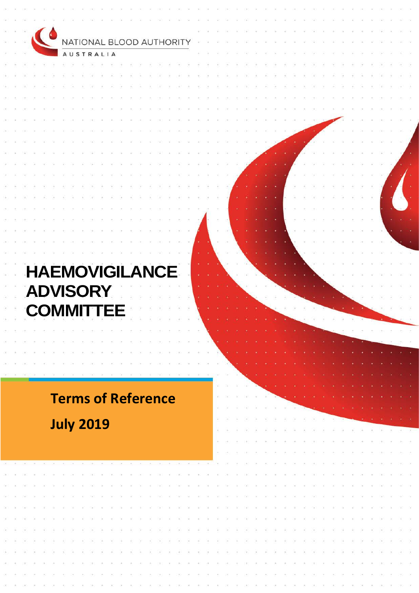| $\bullet$                 |  |  |  |  |  |  |
|---------------------------|--|--|--|--|--|--|
| NATIONAL BLOOD AUTHORITY  |  |  |  |  |  |  |
| <b>AUSTRALIA</b>          |  |  |  |  |  |  |
|                           |  |  |  |  |  |  |
|                           |  |  |  |  |  |  |
|                           |  |  |  |  |  |  |
|                           |  |  |  |  |  |  |
|                           |  |  |  |  |  |  |
|                           |  |  |  |  |  |  |
|                           |  |  |  |  |  |  |
|                           |  |  |  |  |  |  |
|                           |  |  |  |  |  |  |
|                           |  |  |  |  |  |  |
|                           |  |  |  |  |  |  |
|                           |  |  |  |  |  |  |
|                           |  |  |  |  |  |  |
|                           |  |  |  |  |  |  |
|                           |  |  |  |  |  |  |
|                           |  |  |  |  |  |  |
|                           |  |  |  |  |  |  |
|                           |  |  |  |  |  |  |
|                           |  |  |  |  |  |  |
|                           |  |  |  |  |  |  |
| <b>HAEMOVIGILANCE</b>     |  |  |  |  |  |  |
|                           |  |  |  |  |  |  |
| <b>ADVISORY</b>           |  |  |  |  |  |  |
|                           |  |  |  |  |  |  |
| <b>COMMITTEE</b>          |  |  |  |  |  |  |
|                           |  |  |  |  |  |  |
|                           |  |  |  |  |  |  |
|                           |  |  |  |  |  |  |
|                           |  |  |  |  |  |  |
|                           |  |  |  |  |  |  |
|                           |  |  |  |  |  |  |
|                           |  |  |  |  |  |  |
| <b>Terms of Reference</b> |  |  |  |  |  |  |
|                           |  |  |  |  |  |  |
| <b>July 2019</b>          |  |  |  |  |  |  |
|                           |  |  |  |  |  |  |
|                           |  |  |  |  |  |  |
|                           |  |  |  |  |  |  |
|                           |  |  |  |  |  |  |
|                           |  |  |  |  |  |  |
|                           |  |  |  |  |  |  |
|                           |  |  |  |  |  |  |
|                           |  |  |  |  |  |  |
|                           |  |  |  |  |  |  |
|                           |  |  |  |  |  |  |
|                           |  |  |  |  |  |  |
|                           |  |  |  |  |  |  |
|                           |  |  |  |  |  |  |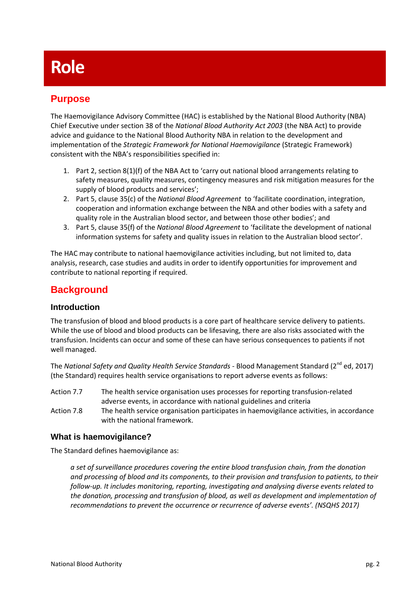# **Role**

## **Purpose**

The Haemovigilance Advisory Committee (HAC) is established by the National Blood Authority (NBA) Chief Executive under section 38 of the *National Blood Authority Act 2003* (the NBA Act) to provide advice and guidance to the National Blood Authority NBA in relation to the development and implementation of the *Strategic Framework for National Haemovigilance* (Strategic Framework) consistent with the NBA's responsibilities specified in:

- 1. Part 2, section 8(1)(f) of the NBA Act to 'carry out national blood arrangements relating to safety measures, quality measures, contingency measures and risk mitigation measures for the supply of blood products and services';
- 2. Part 5, clause 35(c) of the *National Blood Agreement* to 'facilitate coordination, integration, cooperation and information exchange between the NBA and other bodies with a safety and quality role in the Australian blood sector, and between those other bodies'; and
- 3. Part 5, clause 35(f) of the *National Blood Agreement* to 'facilitate the development of national information systems for safety and quality issues in relation to the Australian blood sector'.

The HAC may contribute to national haemovigilance activities including, but not limited to, data analysis, research, case studies and audits in order to identify opportunities for improvement and contribute to national reporting if required.

## **Background**

#### **Introduction**

The transfusion of blood and blood products is a core part of healthcare service delivery to patients. While the use of blood and blood products can be lifesaving, there are also risks associated with the transfusion. Incidents can occur and some of these can have serious consequences to patients if not well managed.

The *National Safety and Quality Health Service Standards -* [Blood Management](https://www.blood.gov.au/national-standard) Standard (2nd ed, 2017) (the Standard) requires health service organisations to report adverse events as follows:

- Action 7.7 The health service organisation uses processes for reporting transfusion-related adverse events, in accordance with national guidelines and criteria
- Action 7.8 The health service organisation participates in haemovigilance activities, in accordance with the national framework.

### **What is haemovigilance?**

The Standard defines haemovigilance as:

*a set of surveillance procedures covering the entire blood transfusion chain, from the donation and processing of blood and its components, to their provision and transfusion to patients, to their follow-up. It includes monitoring, reporting, investigating and analysing diverse events related to the donation, processing and transfusion of blood, as well as development and implementation of recommendations to prevent the occurrence or recurrence of adverse events'. (NSQHS 2017)*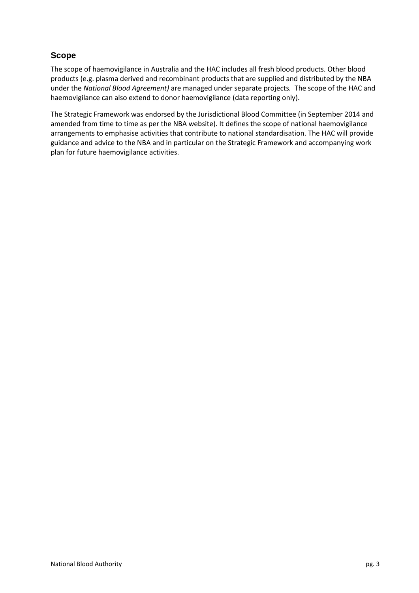### **Scope**

The scope of haemovigilance in Australia and the HAC includes all fresh blood products. Other blood products (e.g. plasma derived and recombinant products that are supplied and distributed by the NBA under the *National Blood Agreement)* are managed under separate projects*.* The scope of the HAC and haemovigilance can also extend to donor haemovigilance (data reporting only).

The Strategic Framework was endorsed by the Jurisdictional Blood Committee (in September 2014 and amended from time to time as per the NBA website). It defines the scope of national haemovigilance arrangements to emphasise activities that contribute to national standardisation. The HAC will provide guidance and advice to the NBA and in particular on the Strategic Framework and accompanying work plan for future haemovigilance activities.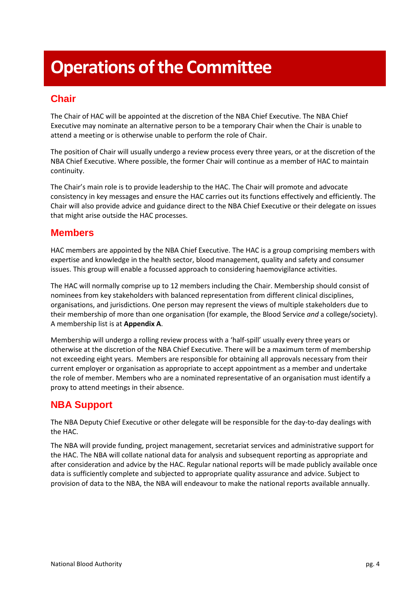# **Operations of the Committee**

# **Chair**

The Chair of HAC will be appointed at the discretion of the NBA Chief Executive. The NBA Chief Executive may nominate an alternative person to be a temporary Chair when the Chair is unable to attend a meeting or is otherwise unable to perform the role of Chair.

The position of Chair will usually undergo a review process every three years, or at the discretion of the NBA Chief Executive. Where possible, the former Chair will continue as a member of HAC to maintain continuity.

The Chair's main role is to provide leadership to the HAC. The Chair will promote and advocate consistency in key messages and ensure the HAC carries out its functions effectively and efficiently. The Chair will also provide advice and guidance direct to the NBA Chief Executive or their delegate on issues that might arise outside the HAC processes.

## **Members**

HAC members are appointed by the NBA Chief Executive. The HAC is a group comprising members with expertise and knowledge in the health sector, blood management, quality and safety and consumer issues. This group will enable a focussed approach to considering haemovigilance activities.

The HAC will normally comprise up to 12 members including the Chair. Membership should consist of nominees from key stakeholders with balanced representation from different clinical disciplines, organisations, and jurisdictions. One person may represent the views of multiple stakeholders due to their membership of more than one organisation (for example, the Blood Service *and* a college/society). A membership list is at **Appendix A**.

Membership will undergo a rolling review process with a 'half-spill' usually every three years or otherwise at the discretion of the NBA Chief Executive. There will be a maximum term of membership not exceeding eight years. Members are responsible for obtaining all approvals necessary from their current employer or organisation as appropriate to accept appointment as a member and undertake the role of member. Members who are a nominated representative of an organisation must identify a proxy to attend meetings in their absence.

## **NBA Support**

The NBA Deputy Chief Executive or other delegate will be responsible for the day-to-day dealings with the HAC.

The NBA will provide funding, project management, secretariat services and administrative support for the HAC. The NBA will collate national data for analysis and subsequent reporting as appropriate and after consideration and advice by the HAC. Regular national reports will be made publicly available once data is sufficiently complete and subjected to appropriate quality assurance and advice. Subject to provision of data to the NBA, the NBA will endeavour to make the national reports available annually.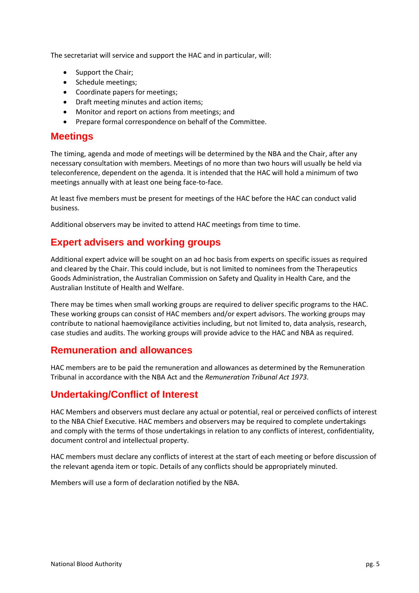The secretariat will service and support the HAC and in particular, will:

- Support the Chair;
- Schedule meetings;
- Coordinate papers for meetings;
- Draft meeting minutes and action items;
- Monitor and report on actions from meetings; and
- Prepare formal correspondence on behalf of the Committee.

#### **Meetings**

The timing, agenda and mode of meetings will be determined by the NBA and the Chair, after any necessary consultation with members. Meetings of no more than two hours will usually be held via teleconference, dependent on the agenda. It is intended that the HAC will hold a minimum of two meetings annually with at least one being face-to-face.

At least five members must be present for meetings of the HAC before the HAC can conduct valid business.

Additional observers may be invited to attend HAC meetings from time to time.

## **Expert advisers and working groups**

Additional expert advice will be sought on an ad hoc basis from experts on specific issues as required and cleared by the Chair. This could include, but is not limited to nominees from the Therapeutics Goods Administration, the Australian Commission on Safety and Quality in Health Care, and the Australian Institute of Health and Welfare.

There may be times when small working groups are required to deliver specific programs to the HAC. These working groups can consist of HAC members and/or expert advisors. The working groups may contribute to national haemovigilance activities including, but not limited to, data analysis, research, case studies and audits. The working groups will provide advice to the HAC and NBA as required.

### **Remuneration and allowances**

HAC members are to be paid the remuneration and allowances as determined by the Remuneration Tribunal in accordance with the NBA Act and the *Remuneration Tribunal Act 1973*.

## **Undertaking/Conflict of Interest**

HAC Members and observers must declare any actual or potential, real or perceived conflicts of interest to the NBA Chief Executive. HAC members and observers may be required to complete undertakings and comply with the terms of those undertakings in relation to any conflicts of interest, confidentiality, document control and intellectual property.

HAC members must declare any conflicts of interest at the start of each meeting or before discussion of the relevant agenda item or topic. Details of any conflicts should be appropriately minuted.

Members will use a form of declaration notified by the NBA.